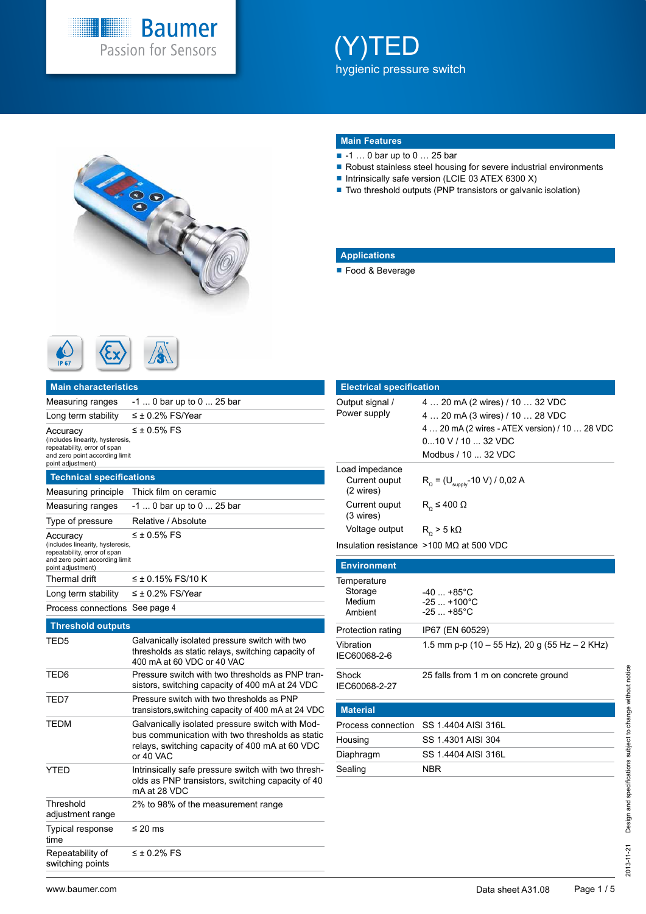

# (Y)TED hygienic pressure switch



### **Main Features**

- -1 ... 0 bar up to 0 ... 25 bar
- Robust stainless steel housing for severe industrial environments
- Intrinsically safe version (LCIE 03 ATEX 6300 X)
- Two threshold outputs (PNP transistors or galvanic isolation)

### **Applications**

■ Food & Beverage

|              | $\sim$ | متعاد<br>77311 |
|--------------|--------|----------------|
| <b>IP 67</b> |        |                |

| <b>Main characteristics</b>                                                                                                         |                                                                                                                                                                   |
|-------------------------------------------------------------------------------------------------------------------------------------|-------------------------------------------------------------------------------------------------------------------------------------------------------------------|
| Measuring ranges                                                                                                                    | $-1$ 0 bar up to 0  25 bar                                                                                                                                        |
| Long term stability                                                                                                                 | $\leq$ ± 0.2% FS/Year                                                                                                                                             |
| Accuracy<br>(includes linearity, hysteresis,<br>repeatability, error of span<br>and zero point according limit<br>point adjustment) | $\leq \pm 0.5\%$ FS                                                                                                                                               |
| <b>Technical specifications</b>                                                                                                     |                                                                                                                                                                   |
| Measuring principle                                                                                                                 | Thick film on ceramic                                                                                                                                             |
| Measuring ranges                                                                                                                    | -1  0 bar up to 0  25 bar                                                                                                                                         |
| Type of pressure                                                                                                                    | Relative / Absolute                                                                                                                                               |
| Accuracy<br>(includes linearity, hysteresis,<br>repeatability, error of span<br>and zero point according limit<br>point adjustment) | $\leq \pm 0.5\%$ FS                                                                                                                                               |
| Thermal drift                                                                                                                       | ≤ ± 0.15% FS/10 K                                                                                                                                                 |
| Long term stability                                                                                                                 | $\leq \pm$ 0.2% FS/Year                                                                                                                                           |
| Process connections                                                                                                                 | See page 4                                                                                                                                                        |
| <b>Threshold outputs</b>                                                                                                            |                                                                                                                                                                   |
| TED5                                                                                                                                | Galvanically isolated pressure switch with two<br>thresholds as static relays, switching capacity of<br>400 mA at 60 VDC or 40 VAC                                |
| TED6                                                                                                                                | Pressure switch with two thresholds as PNP tran-<br>sistors, switching capacity of 400 mA at 24 VDC                                                               |
| TED7                                                                                                                                | Pressure switch with two thresholds as PNP<br>transistors, switching capacity of 400 mA at 24 VDC                                                                 |
| TEDM                                                                                                                                | Galvanically isolated pressure switch with Mod-<br>bus communication with two thresholds as static<br>relays, switching capacity of 400 mA at 60 VDC<br>or 40 VAC |
| <b>YTED</b>                                                                                                                         | Intrinsically safe pressure switch with two thresh-<br>olds as PNP transistors, switching capacity of 40<br>mA at 28 VDC                                          |
| Threshold<br>adjustment range                                                                                                       | 2% to 98% of the measurement range                                                                                                                                |
| <b>Typical response</b><br>time                                                                                                     | ≤ 20 ms                                                                                                                                                           |
| Repeatability of<br>switching points                                                                                                | $\leq \pm 0.2\%$ FS                                                                                                                                               |

| <b>Electrical specification</b>              |                                                                                                                                                                                 |
|----------------------------------------------|---------------------------------------------------------------------------------------------------------------------------------------------------------------------------------|
| Output signal /<br>Power supply              | 4  20 mA (2 wires) / 10  32 VDC<br>4  20 mA (3 wires) / 10  28 VDC<br>4  20 mA (2 wires - ATEX version) / 10  28 VDC<br>$010$ V / 10 $$ 32 VDC<br>Modbus $/$ 10 $\ldots$ 32 VDC |
| Load impedance<br>Current ouput<br>(2 wires) | $R_0$ = (U <sub>supply</sub> -10 V) / 0,02 A                                                                                                                                    |
| Current ouput<br>(3 wires)                   | $R_0 \leq 400 \Omega$                                                                                                                                                           |
| Voltage output $R_0 > 5 k\Omega$             |                                                                                                                                                                                 |
|                                              | Insulation resistance $>100$ MQ at 500 VDC                                                                                                                                      |
| <b>Environment</b>                           |                                                                                                                                                                                 |
| Temperature<br>Storage<br>Medium<br>Ambient  | $-40+85^{\circ}C$<br>$-25+100^{\circ}C$<br>$-25+85^{\circ}C$                                                                                                                    |
| Protection rating                            | IP67 (EN 60529)                                                                                                                                                                 |
| Vibration<br>IEC60068-2-6                    | 1.5 mm p-p (10 – 55 Hz), 20 g (55 Hz – 2 KHz)                                                                                                                                   |

**Material** Process connection SS 1.4404 AISI 316L Housing SS 1.4301 AISI 304 Diaphragm SS 1.4404 AISI 316L Sealing NBR Shock IEC60068-2-27 25 falls from 1 m on concrete ground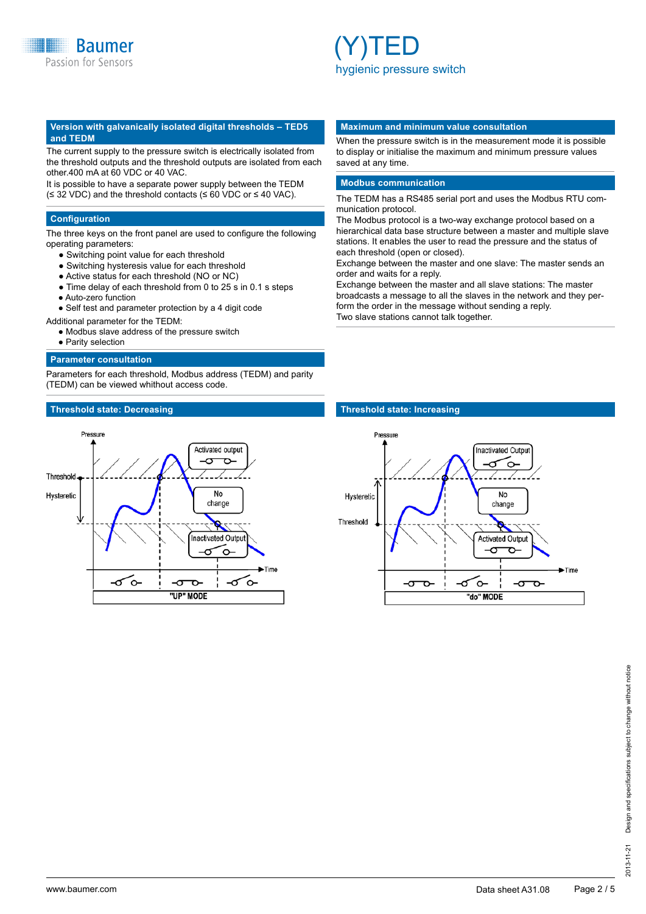### **Version with galvanically isolated digital thresholds – TED5 and TEDM**

The current supply to the pressure switch is electrically isolated from the threshold outputs and the threshold outputs are isolated from each other.400 mA at 60 VDC or 40 VAC.

It is possible to have a separate power supply between the TEDM (≤ 32 VDC) and the threshold contacts (≤ 60 VDC or ≤ 40 VAC).

### **Configuration**

The three keys on the front panel are used to configure the following operating parameters:

- Switching point value for each threshold
- Switching hysteresis value for each threshold
- Active status for each threshold (NO or NC)
- Time delay of each threshold from 0 to 25 s in 0.1 s steps
- Auto-zero function
- Self test and parameter protection by a 4 digit code
- Additional parameter for the TEDM:
	- Modbus slave address of the pressure switch
	- Parity selection

### **Parameter consultation**

Parameters for each threshold, Modbus address (TEDM) and parity (TEDM) can be viewed whithout access code.

### **Threshold state: Decreasing Threshold state: Increasing**



### **Maximum and minimum value consultation**

When the pressure switch is in the measurement mode it is possible to display or initialise the maximum and minimum pressure values saved at any time.

### **Modbus communication**

The TEDM has a RS485 serial port and uses the Modbus RTU communication protocol.

The Modbus protocol is a two-way exchange protocol based on a hierarchical data base structure between a master and multiple slave stations. It enables the user to read the pressure and the status of each threshold (open or closed).

Exchange between the master and one slave: The master sends an order and waits for a reply.

Exchange between the master and all slave stations: The master broadcasts a message to all the slaves in the network and they perform the order in the message without sending a reply. Two slave stations cannot talk together.

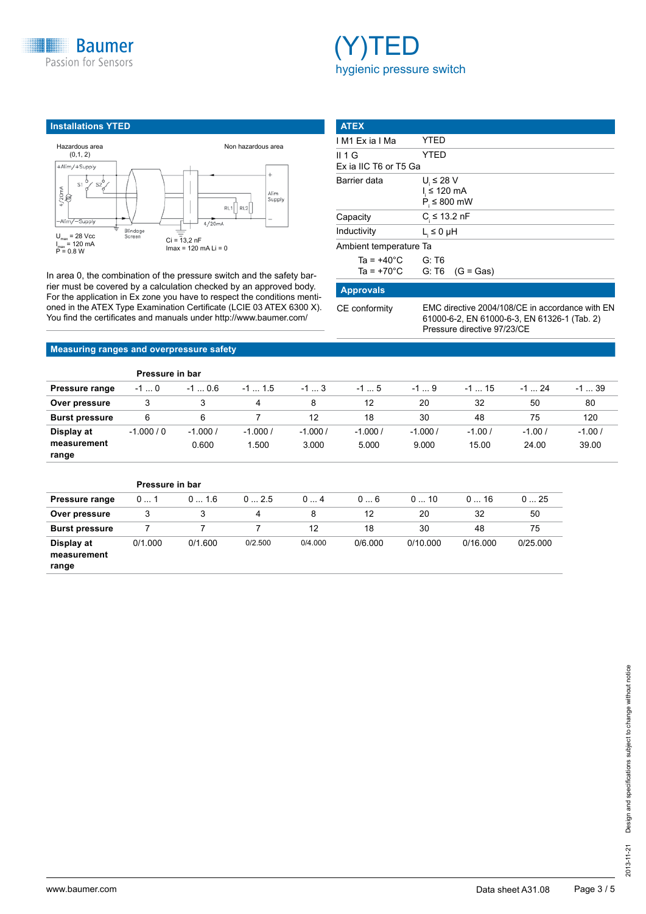



### **Installations YTED** Hazardous area Non hazardous area (0,1, 2) +Alim/+Supply S1  $S<sub>2</sub>$  $rac{20}{8}$ Alim<br>Supply  $RL1$   $RL2$  $AlimZ-Su$  $4/20mA$ Blindag<br>Screen  $U_{\text{max}}$  = 28 Vcc  $Ci = 13,2 nF$ I<sub>max</sub> = 120 mA<br>P = 0.8 W  $Imax = 120$  mA Li = 0

In area 0, the combination of the pressure switch and the safety barrier must be covered by a calculation checked by an approved body. For the application in Ex zone you have to respect the conditions mentioned in the ATEX Type Examination Certificate (LCIE 03 ATEX 6300 X). You find the certificates and manuals under http://www.baumer.com/

| <b>ATEX</b>                                  |                                                                  |
|----------------------------------------------|------------------------------------------------------------------|
| IM1 Exia IMa                                 | YTED                                                             |
| II 1 G<br>Ex ia IIC T6 or T5 Ga              | YTED                                                             |
| Barrier data                                 | $U_i \leq 28$ V<br>$l \leq 120$ mA<br>$P_{\text{I}} \leq 800$ mW |
| Capacity                                     | $C \le 13.2$ nF                                                  |
| Inductivity                                  | $L_i \leq 0$ µH                                                  |
| Ambient temperature Ta                       |                                                                  |
| Ta = $+40^{\circ}$ C<br>Ta = $+70^{\circ}$ C | G: T6<br>$G: T6$ (G = Gas)                                       |
| <b>Approvals</b>                             |                                                                  |

CE conformity EMC directive 2004/108/CE in accordance with EN 61000-6-2, EN 61000-6-3, EN 61326-1 (Tab. 2) Pressure directive 97/23/CE

### **Measuring ranges and overpressure safety**

|                                    | Pressure in bar |                    |                   |                    |                    |                    |                   |                   |                   |  |  |
|------------------------------------|-----------------|--------------------|-------------------|--------------------|--------------------|--------------------|-------------------|-------------------|-------------------|--|--|
| <b>Pressure range</b>              | $-10$           | $-10.6$            | $-1$ 1.5          | $-13$              | $-15$              | $-19$              | $-115$            | $-1$ 24           | $-139$            |  |  |
| Over pressure                      |                 |                    | 12<br>4           |                    | 32<br>20           |                    | 50                | 80                |                   |  |  |
| <b>Burst pressure</b>              | 6               | 6                  |                   | 12                 | 18                 | 30                 | 48                | 75                | 120               |  |  |
| Display at<br>measurement<br>range | $-1.000/0$      | $-1.000/$<br>0.600 | $-1.000/$<br>.500 | $-1.000/$<br>3.000 | $-1.000/$<br>5.000 | $-1.000/$<br>9.000 | $-1.00/$<br>15.00 | $-1.00/$<br>24.00 | $-1.00/$<br>39.00 |  |  |

|                                    | Pressure in bar |         |         |         |         |          |          |          |  |  |
|------------------------------------|-----------------|---------|---------|---------|---------|----------|----------|----------|--|--|
| <b>Pressure range</b>              | 01              | 01.6    | 02.5    | 04      | 06      | 010      | 016      | 025      |  |  |
| Over pressure                      | 3               | 3       | 4       | 8       | 12      | 20       | 32       | 50       |  |  |
| <b>Burst pressure</b>              |                 |         |         | 12      | 18      | 30       | 48       | 75       |  |  |
| Display at<br>measurement<br>range | 0/1.000         | 0/1.600 | 0/2.500 | 0/4.000 | 0/6.000 | 0/10.000 | 0/16.000 | 0/25.000 |  |  |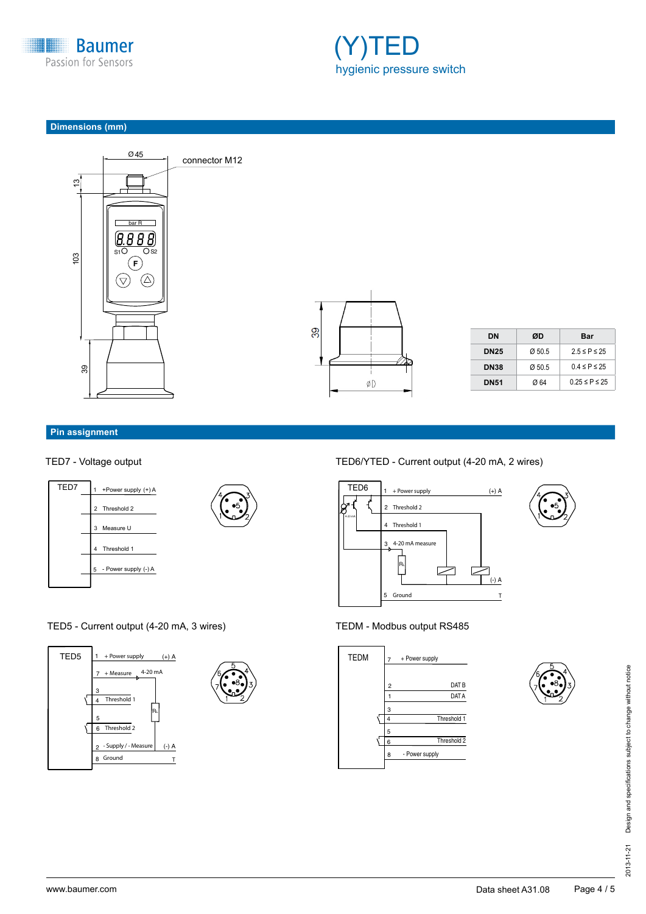

![](_page_3_Picture_1.jpeg)

### **Dimensions (mm)**

![](_page_3_Figure_3.jpeg)

![](_page_3_Figure_4.jpeg)

| DΝ          | ØD    | Bar                  |
|-------------|-------|----------------------|
| <b>DN25</b> | @50.5 | $2.5 \leq P \leq 25$ |
| <b>DN38</b> | @50.5 | $0.4 \leq P \leq 25$ |
| <b>DN51</b> | Ø 64  | 0 25 ≤ P ≤ 25        |
|             |       |                      |

### **Pin assignment**

![](_page_3_Figure_8.jpeg)

## TED5 - Current output (4-20 mA, 3 wires)

![](_page_3_Figure_10.jpeg)

### TED7 - Voltage output TED6/YTED - Current output (4-20 mA, 2 wires)

![](_page_3_Figure_12.jpeg)

## TEDM - Modbus output RS485

![](_page_3_Figure_14.jpeg)

![](_page_3_Figure_15.jpeg)